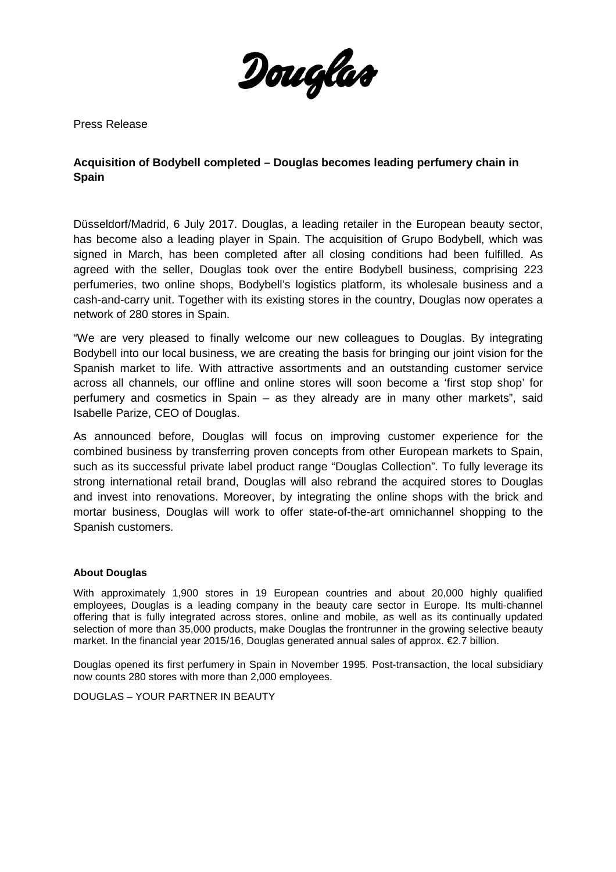

Press Release

## **Acquisition of Bodybell completed – Douglas becomes leading perfumery chain in Spain**

Düsseldorf/Madrid, 6 July 2017. Douglas, a leading retailer in the European beauty sector, has become also a leading player in Spain. The acquisition of Grupo Bodybell, which was signed in March, has been completed after all closing conditions had been fulfilled. As agreed with the seller, Douglas took over the entire Bodybell business, comprising 223 perfumeries, two online shops, Bodybell's logistics platform, its wholesale business and a cash-and-carry unit. Together with its existing stores in the country, Douglas now operates a network of 280 stores in Spain.

"We are very pleased to finally welcome our new colleagues to Douglas. By integrating Bodybell into our local business, we are creating the basis for bringing our joint vision for the Spanish market to life. With attractive assortments and an outstanding customer service across all channels, our offline and online stores will soon become a 'first stop shop' for perfumery and cosmetics in Spain – as they already are in many other markets", said Isabelle Parize, CEO of Douglas.

As announced before, Douglas will focus on improving customer experience for the combined business by transferring proven concepts from other European markets to Spain, such as its successful private label product range "Douglas Collection". To fully leverage its strong international retail brand, Douglas will also rebrand the acquired stores to Douglas and invest into renovations. Moreover, by integrating the online shops with the brick and mortar business, Douglas will work to offer state-of-the-art omnichannel shopping to the Spanish customers.

## **About Douglas**

With approximately 1,900 stores in 19 European countries and about 20,000 highly qualified employees, Douglas is a leading company in the beauty care sector in Europe. Its multi-channel offering that is fully integrated across stores, online and mobile, as well as its continually updated selection of more than 35,000 products, make Douglas the frontrunner in the growing selective beauty market. In the financial year 2015/16, Douglas generated annual sales of approx. €2.7 billion.

Douglas opened its first perfumery in Spain in November 1995. Post-transaction, the local subsidiary now counts 280 stores with more than 2,000 employees.

DOUGLAS – YOUR PARTNER IN BEAUTY